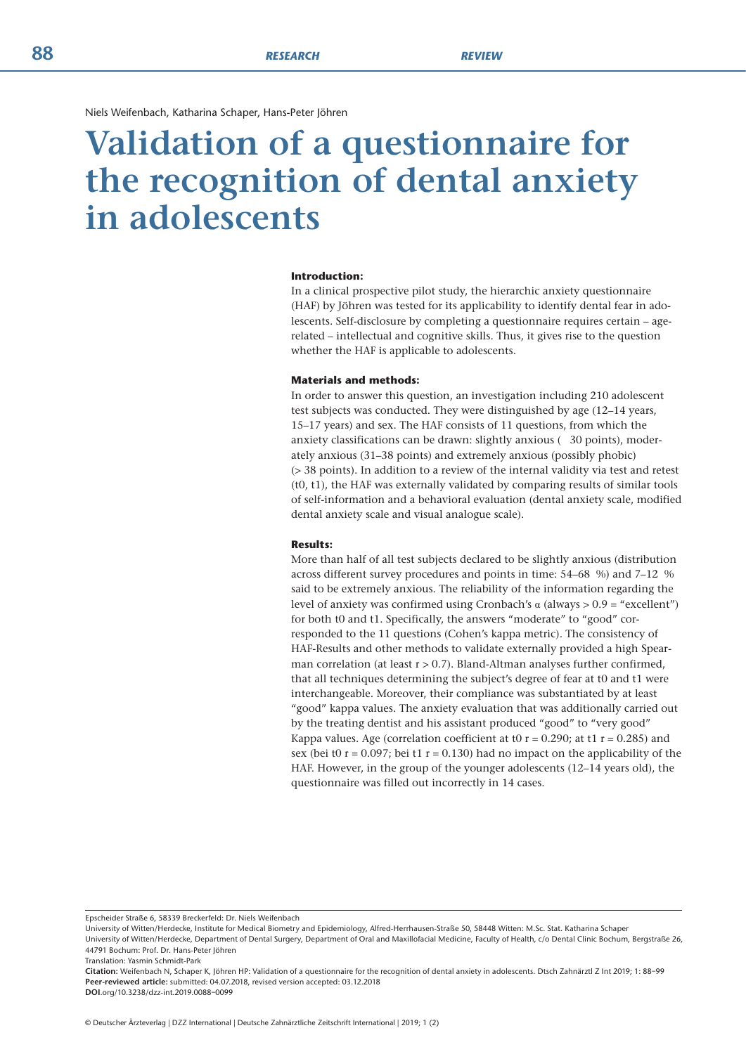Niels Weifenbach, Katharina Schaper, Hans-Peter Jöhren

# **Validation of a questionnaire for the recognition of dental anxiety in adolescents**

#### **Introduction:**

In a clinical prospective pilot study, the hierarchic anxiety questionnaire (HAF) by Jöhren was tested for its applicability to identify dental fear in adolescents. Self-disclosure by completing a questionnaire requires certain – agerelated – intellectual and cognitive skills. Thus, it gives rise to the question whether the HAF is applicable to adolescents.

#### **Materials and methods:**

In order to answer this question, an investigation including 210 adolescent test subjects was conducted. They were distinguished by age (12–14 years, 15–17 years) and sex. The HAF consists of 11 questions, from which the anxiety classifications can be drawn: slightly anxious ( 30 points), moderately anxious (31–38 points) and extremely anxious (possibly phobic) (> 38 points). In addition to a review of the internal validity via test and retest (t0, t1), the HAF was externally validated by comparing results of similar tools of self-information and a behavioral evaluation (dental anxiety scale, modified dental anxiety scale and visual analogue scale).

# **Results:**

More than half of all test subjects declared to be slightly anxious (distribution across different survey procedures and points in time: 54–68 %) and 7–12 % said to be extremely anxious. The reliability of the information regarding the level of anxiety was confirmed using Cronbach's α (always > 0.9 = "excellent") for both t0 and t1. Specifically, the answers "moderate" to "good" corresponded to the 11 questions (Cohen's kappa metric). The consistency of HAF-Results and other methods to validate externally provided a high Spearman correlation (at least  $r > 0.7$ ). Bland-Altman analyses further confirmed, that all techniques determining the subject's degree of fear at t0 and t1 were interchangeable. Moreover, their compliance was substantiated by at least "good" kappa values. The anxiety evaluation that was additionally carried out by the treating dentist and his assistant produced "good" to "very good" Kappa values. Age (correlation coefficient at t0  $r = 0.290$ ; at t1  $r = 0.285$ ) and sex (bei t0  $r = 0.097$ ; bei t1  $r = 0.130$ ) had no impact on the applicability of the HAF. However, in the group of the younger adolescents (12–14 years old), the questionnaire was filled out incorrectly in 14 cases.

Epscheider Straße 6, 58339 Breckerfeld: Dr. Niels Weifenbach

University of Witten/Herdecke, Institute for Medical Biometry and Epidemiology, Alfred-Herrhausen-Straße 50, 58448 Witten: M.Sc. Stat. Katharina Schaper

University of Witten/Herdecke, Department of Dental Surgery, Department of Oral and Maxillofacial Medicine, Faculty of Health, c/o Dental Clinic Bochum, Bergstraße 26, 44791 Bochum: Prof. Dr. Hans-Peter Jöhren

Translation: Yasmin Schmidt-Park

**Citation:** Weifenbach N, Schaper K, Jöhren HP: Validation of a questionnaire for the recognition of dental anxiety in adolescents. Dtsch Zahnärztl Z Int 2019; 1: 88–99 **Peer-reviewed article:** submitted: 04.07.2018, revised version accepted: 03.12.2018

**DOI**.org/10.3238/dzz-int.2019.0088–0099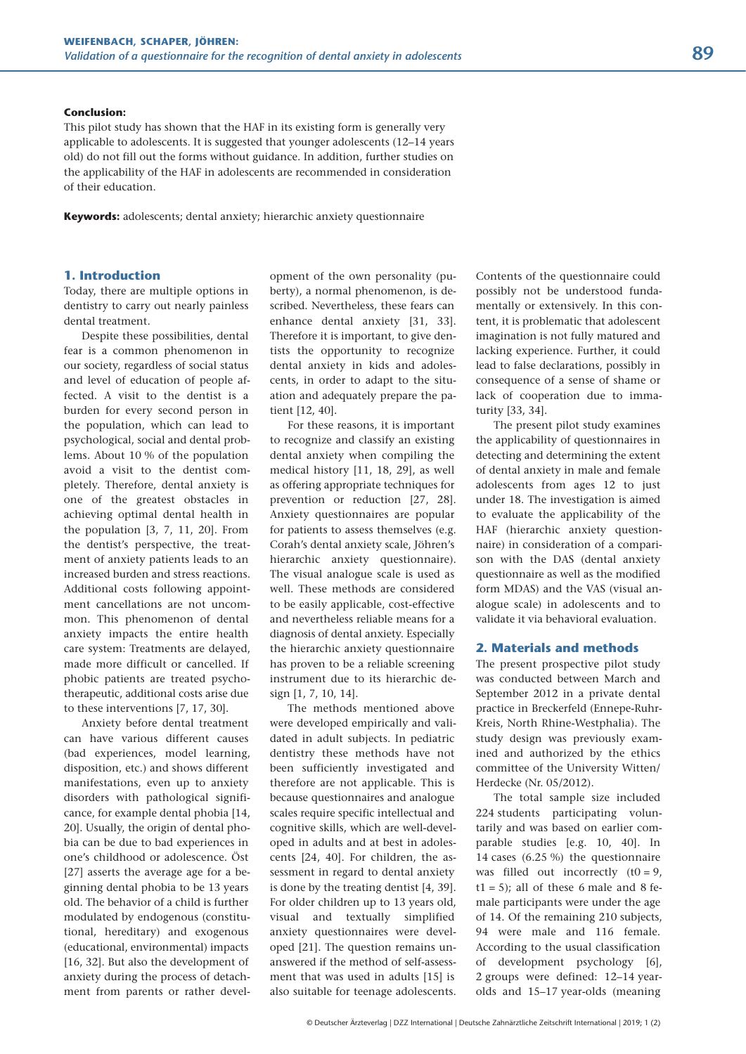#### **Conclusion:**

This pilot study has shown that the HAF in its existing form is generally very applicable to adolescents. It is suggested that younger adolescents (12–14 years old) do not fill out the forms without guidance. In addition, further studies on the applicability of the HAF in adolescents are recommended in consideration of their education.

**Keywords:** adolescents; dental anxiety; hierarchic anxiety questionnaire

# **1. Introduction**

Today, there are multiple options in dentistry to carry out nearly painless dental treatment.

Despite these possibilities, dental fear is a common phenomenon in our society, regardless of social status and level of education of people affected. A visit to the dentist is a burden for every second person in the population, which can lead to psychological, social and dental problems. About 10 % of the population avoid a visit to the dentist completely. Therefore, dental anxiety is one of the greatest obstacles in achieving optimal dental health in the population [3, 7, 11, 20]. From the dentist's perspective, the treatment of anxiety patients leads to an increased burden and stress reactions. Additional costs following appointment cancellations are not uncommon. This phenomenon of dental anxiety impacts the entire health care system: Treatments are delayed, made more difficult or cancelled. If phobic patients are treated psychotherapeutic, additional costs arise due to these interventions [7, 17, 30].

Anxiety before dental treatment can have various different causes (bad experiences, model learning, disposition, etc.) and shows different manifestations, even up to anxiety disorders with pathological significance, for example dental phobia [14, 20]. Usually, the origin of dental phobia can be due to bad experiences in one's childhood or adolescence. Öst [27] asserts the average age for a beginning dental phobia to be 13 years old. The behavior of a child is further modulated by endogenous (constitutional, hereditary) and exogenous (educational, environmental) impacts [16, 32]. But also the development of anxiety during the process of detachment from parents or rather development of the own personality (puberty), a normal phenomenon, is described. Nevertheless, these fears can enhance dental anxiety [31, 33]. Therefore it is important, to give dentists the opportunity to recognize dental anxiety in kids and adolescents, in order to adapt to the situation and adequately prepare the patient [12, 40].

For these reasons, it is important to recognize and classify an existing dental anxiety when compiling the medical history [11, 18, 29], as well as offering appropriate techniques for prevention or reduction [27, 28]. Anxiety questionnaires are popular for patients to assess themselves (e.g. Corah's dental anxiety scale, Jöhren's hierarchic anxiety questionnaire). The visual analogue scale is used as well. These methods are considered to be easily applicable, cost-effective and nevertheless reliable means for a diagnosis of dental anxiety. Especially the hierarchic anxiety questionnaire has proven to be a reliable screening instrument due to its hierarchic design [1, 7, 10, 14].

The methods mentioned above were developed empirically and validated in adult subjects. In pediatric dentistry these methods have not been sufficiently investigated and therefore are not applicable. This is because questionnaires and analogue scales require specific intellectual and cognitive skills, which are well-developed in adults and at best in adolescents [24, 40]. For children, the assessment in regard to dental anxiety is done by the treating dentist [4, 39]. For older children up to 13 years old, visual and textually simplified anxiety questionnaires were developed [21]. The question remains unanswered if the method of self-assessment that was used in adults [15] is also suitable for teenage adolescents. Contents of the questionnaire could possibly not be understood fundamentally or extensively. In this content, it is problematic that adolescent imagination is not fully matured and lacking experience. Further, it could lead to false declarations, possibly in consequence of a sense of shame or lack of cooperation due to immaturity [33, 34].

The present pilot study examines the applicability of questionnaires in detecting and determining the extent of dental anxiety in male and female adolescents from ages 12 to just under 18. The investigation is aimed to evaluate the applicability of the HAF (hierarchic anxiety questionnaire) in consideration of a comparison with the DAS (dental anxiety questionnaire as well as the modified form MDAS) and the VAS (visual analogue scale) in adolescents and to validate it via behavioral evaluation.

#### **2. Materials and methods**

The present prospective pilot study was conducted between March and September 2012 in a private dental practice in Breckerfeld (Ennepe-Ruhr-Kreis, North Rhine-Westphalia). The study design was previously exam ined and authorized by the ethics committee of the University Witten/ Herdecke (Nr. 05/2012).

The total sample size included 224 students participating voluntarily and was based on earlier comparable studies [e.g. 10, 40]. In 14 cases (6.25 %) the questionnaire was filled out incorrectly  $(t0 = 9)$ ,  $t1 = 5$ ); all of these 6 male and 8 female participants were under the age of 14. Of the remaining 210 subjects, 94 were male and 116 female. According to the usual classification of development psychology [6], 2 groups were defined: 12–14 yearolds and 15–17 year-olds (meaning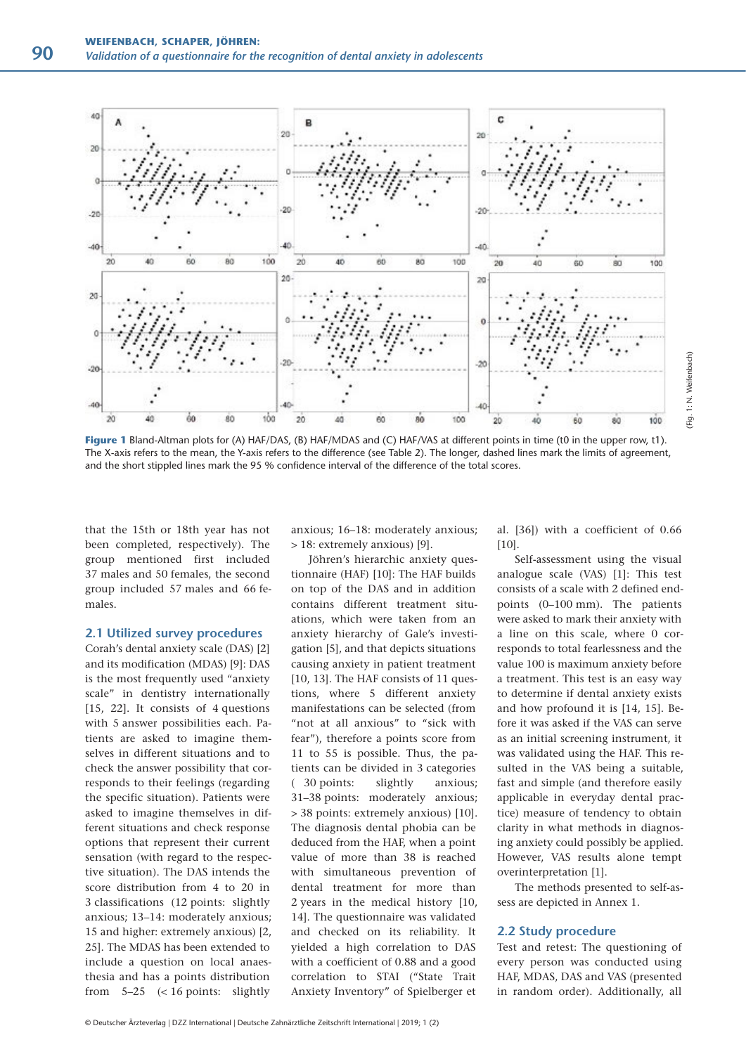

**Figure 1** Bland-Altman plots for (A) HAF/DAS, (B) HAF/MDAS and (C) HAF/VAS at different points in time (t0 in the upper row, t1). The X-axis refers to the mean, the Y-axis refers to the difference (see Table 2). The longer, dashed lines mark the limits of agreement, and the short stippled lines mark the 95 % confidence interval of the difference of the total scores.

that the 15th or 18th year has not been completed, respectively). The group mentioned first included 37 males and 50 females, the second group included 57 males and 66 females.

### **2.1 Utilized survey procedures**

Corah's dental anxiety scale (DAS) [2] and its modification (MDAS) [9]: DAS is the most frequently used "anxiety scale" in dentistry internationally [15, 22]. It consists of 4 questions with 5 answer possibilities each. Patients are asked to imagine themselves in different situations and to check the answer possibility that corresponds to their feelings (regarding the specific situation). Patients were asked to imagine themselves in different situations and check response options that represent their current sensation (with regard to the respective situation). The DAS intends the score distribution from 4 to 20 in 3 classifications (12 points: slightly anxious; 13–14: moderately anxious; 15 and higher: extremely anxious) [2, 25]. The MDAS has been extended to include a question on local anaesthesia and has a points distribution from 5–25 (< 16 points: slightly

anxious; 16–18: moderately anxious; > 18: extremely anxious) [9].

Jöhren's hierarchic anxiety questionnaire (HAF) [10]: The HAF builds on top of the DAS and in addition contains different treatment situations, which were taken from an anxiety hierarchy of Gale's investigation [5], and that depicts situations causing anxiety in patient treatment [10, 13]. The HAF consists of 11 questions, where 5 different anxiety manifestations can be selected (from "not at all anxious" to "sick with fear"), therefore a points score from 11 to 55 is possible. Thus, the patients can be divided in 3 categories ( 30 points: slightly anxious; 31–38 points: moderately anxious; > 38 points: extremely anxious) [10]. The diagnosis dental phobia can be deduced from the HAF, when a point value of more than 38 is reached with simultaneous prevention of dental treatment for more than 2 years in the medical history [10, 14]. The questionnaire was validated and checked on its reliability. It yielded a high correlation to DAS with a coefficient of 0.88 and a good correlation to STAI ("State Trait Anxiety Inventory" of Spielberger et

al. [36]) with a coefficient of 0.66 [10].

(Fig. 1: N. Weifenbach)

Fig. 1: N. Weifenbach)

Self-assessment using the visual analogue scale (VAS) [1]: This test consists of a scale with 2 defined endpoints (0–100 mm). The patients were asked to mark their anxiety with a line on this scale, where 0 corresponds to total fearlessness and the value 100 is maximum anxiety before a treatment. This test is an easy way to determine if dental anxiety exists and how profound it is [14, 15]. Before it was asked if the VAS can serve as an initial screening instrument, it was validated using the HAF. This resulted in the VAS being a suitable, fast and simple (and therefore easily applicable in everyday dental practice) measure of tendency to obtain clarity in what methods in diagnosing anxiety could possibly be applied. However, VAS results alone tempt overinterpretation [1].

The methods presented to self-assess are depicted in Annex 1.

# **2.2 Study procedure**

Test and retest: The questioning of every person was conducted using HAF, MDAS, DAS and VAS (presented in random order). Additionally, all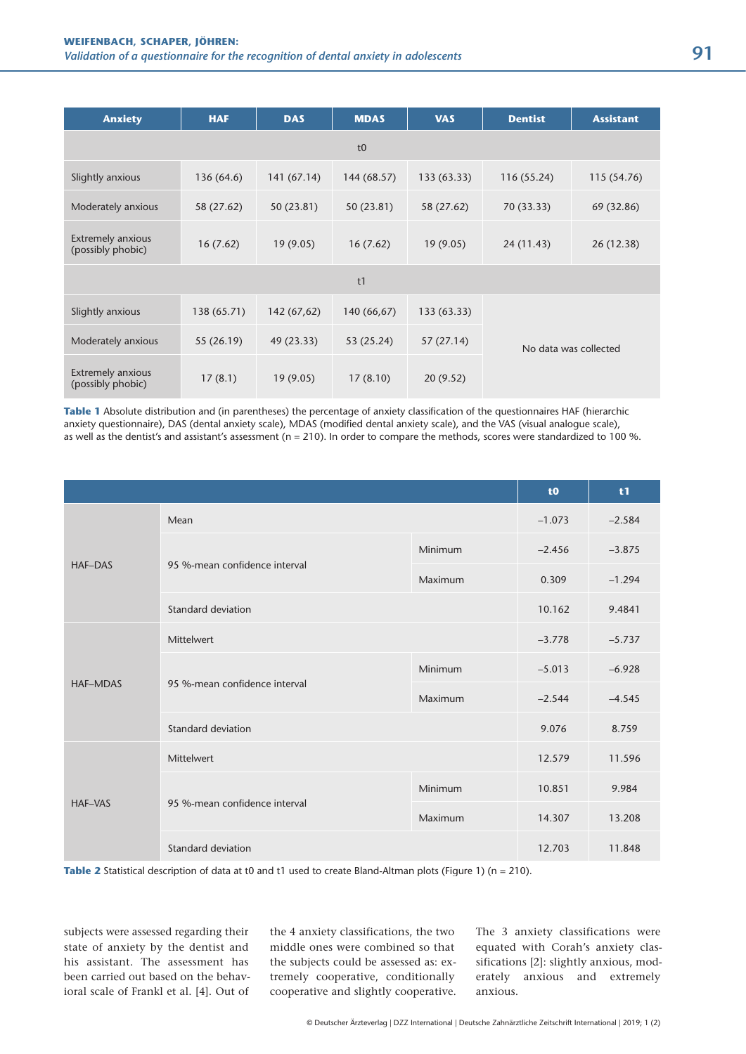| <b>Anxiety</b>                                | <b>HAF</b>  | <b>DAS</b>  | <b>MDAS</b> | <b>VAS</b>  | <b>Dentist</b> | <b>Assistant</b>      |
|-----------------------------------------------|-------------|-------------|-------------|-------------|----------------|-----------------------|
|                                               |             |             | t0          |             |                |                       |
| Slightly anxious                              | 136 (64.6)  | 141 (67.14) | 144 (68.57) | 133 (63.33) | 116 (55.24)    | 115 (54.76)           |
| Moderately anxious                            | 58 (27.62)  | 50 (23.81)  | 50 (23.81)  | 58 (27.62)  | 70 (33.33)     | 69 (32.86)            |
| Extremely anxious<br>(possibly phobic)        | 16(7.62)    | 19(9.05)    | 16(7.62)    | 19(9.05)    | 24 (11.43)     | 26 (12.38)            |
|                                               |             |             | t1          |             |                |                       |
| Slightly anxious                              | 138 (65.71) | 142 (67,62) | 140 (66,67) | 133 (63.33) |                |                       |
| Moderately anxious                            | 55 (26.19)  | 49 (23.33)  | 53 (25.24)  | 57 (27.14)  |                | No data was collected |
| <b>Extremely anxious</b><br>(possibly phobic) | 17(8.1)     | 19(9.05)    | 17(8.10)    | 20(9.52)    |                |                       |

**Table 1** Absolute distribution and (in parentheses) the percentage of anxiety classification of the questionnaires HAF (hierarchic anxiety questionnaire), DAS (dental anxiety scale), MDAS (modified dental anxiety scale), and the VAS (visual analogue scale), as well as the dentist's and assistant's assessment (n = 210). In order to compare the methods, scores were standardized to 100 %.

|                 |                               |         | t <sub>0</sub> | t1       |
|-----------------|-------------------------------|---------|----------------|----------|
|                 | Mean                          |         | $-1.073$       | $-2.584$ |
|                 |                               | Minimum | $-2.456$       | $-3.875$ |
| <b>HAF-DAS</b>  | 95 %-mean confidence interval | Maximum | 0.309          | $-1.294$ |
|                 | Standard deviation            |         | 10.162         | 9.4841   |
|                 | Mittelwert                    |         | $-3.778$       | $-5.737$ |
|                 |                               | Minimum | $-5.013$       | $-6.928$ |
| <b>HAF-MDAS</b> | 95 %-mean confidence interval | Maximum | $-2.544$       | $-4.545$ |
|                 | Standard deviation            |         | 9.076          | 8.759    |
|                 | Mittelwert                    |         | 12.579         | 11.596   |
|                 |                               | Minimum | 10.851         | 9.984    |
| <b>HAF-VAS</b>  | 95 %-mean confidence interval | Maximum | 14.307         | 13.208   |
|                 | Standard deviation            |         | 12.703         | 11.848   |

**Table 2** Statistical description of data at t0 and t1 used to create Bland-Altman plots (Figure 1) (n = 210).

subjects were assessed regarding their state of anxiety by the dentist and his assistant. The assessment has been carried out based on the behavioral scale of Frankl et al. [4]. Out of the 4 anxiety classifications, the two middle ones were combined so that the subjects could be assessed as: extremely cooperative, conditionally cooperative and slightly cooperative. The 3 anxiety classifications were equated with Corah's anxiety classifications [2]: slightly anxious, moderately anxious and extremely anxious.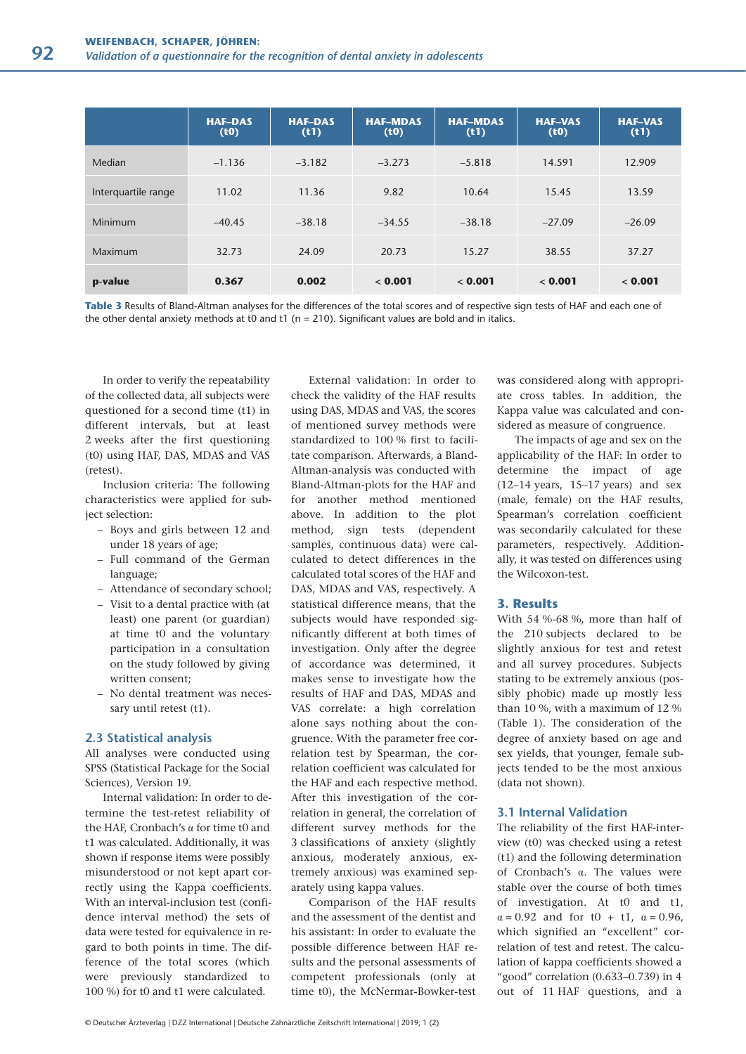|                     | <b>HAF-DAS</b><br>(t0) | <b>HAF-DAS</b><br>(t1) | <b>HAF-MDAS</b><br>(t0) | <b>HAF-MDAS</b><br>(t1) | <b>HAF-VAS</b><br>(t0) | <b>HAF-VAS</b><br>(t1) |
|---------------------|------------------------|------------------------|-------------------------|-------------------------|------------------------|------------------------|
| Median              | $-1.136$               | $-3.182$               | $-3.273$                | $-5.818$                | 14.591                 | 12.909                 |
| Interquartile range | 11.02                  | 11.36                  | 9.82                    | 10.64                   | 15.45                  | 13.59                  |
| Minimum             | $-40.45$               | $-38.18$               | $-34.55$                | $-38.18$                | $-27.09$               | $-26.09$               |
| Maximum             | 32.73                  | 24.09                  | 20.73                   | 15.27                   | 38.55                  | 37.27                  |
| p-value             | 0.367                  | 0.002                  | < 0.001                 | < 0.001                 | < 0.001                | < 0.001                |

**Table 3** Results of Bland-Altman analyses for the differences of the total scores and of respective sign tests of HAF and each one of the other dental anxiety methods at t0 and t1 ( $n = 210$ ). Significant values are bold and in italics.

In order to verify the repeatability of the collected data, all subjects were questioned for a second time (t1) in different intervals, but at least 2 weeks after the first questioning (t0) using HAF, DAS, MDAS and VAS (retest).

Inclusion criteria: The following characteristics were applied for subject selection:

- Boys and girls between 12 and under 18 years of age;
- Full command of the German language;
- Attendance of secondary school;
- Visit to a dental practice with (at least) one parent (or guardian) at time t0 and the voluntary participation in a consultation on the study followed by giving written consent;
- No dental treatment was neces sary until retest (t1).

#### **2.3 Statistical analysis**

All analyses were conducted using SPSS (Statistical Package for the Social Sciences), Version 19.

Internal validation: In order to determine the test-retest reliability of the HAF, Cronbach's α for time t0 and t1 was calculated. Additionally, it was shown if response items were possibly misunderstood or not kept apart correctly using the Kappa coefficients. With an interval-inclusion test (confidence interval method) the sets of data were tested for equivalence in regard to both points in time. The difference of the total scores (which were previously standardized to 100 %) for t0 and t1 were calculated.

External validation: In order to check the validity of the HAF results using DAS, MDAS and VAS, the scores of mentioned survey methods were standardized to 100 % first to facilitate comparison. Afterwards, a Bland-Altman-analysis was conducted with Bland-Altman-plots for the HAF and for another method mentioned above. In addition to the plot method, sign tests (dependent samples, continuous data) were calculated to detect differences in the calculated total scores of the HAF and DAS, MDAS and VAS, respectively. A statistical difference means, that the subjects would have responded significantly different at both times of investigation. Only after the degree of accordance was determined, it makes sense to investigate how the results of HAF and DAS, MDAS and VAS correlate: a high correlation alone says nothing about the congruence. With the parameter free correlation test by Spearman, the correlation coefficient was calculated for the HAF and each respective method. After this investigation of the correlation in general, the correlation of different survey methods for the 3 classifications of anxiety (slightly anxious, moderately anxious, extremely anxious) was examined separately using kappa values.

Comparison of the HAF results and the assessment of the dentist and his assistant: In order to evaluate the possible difference between HAF results and the personal assessments of competent professionals (only at time t0), the McNermar-Bowker-test

was considered along with appropriate cross tables. In addition, the Kappa value was calculated and considered as measure of congruence.

The impacts of age and sex on the applicability of the HAF: In order to determine the impact of age (12–14 years, 15–17 years) and sex (male, female) on the HAF results, Spearman's correlation coefficient was secondarily calculated for these parameters, respectively. Additionally, it was tested on differences using the Wilcoxon-test.

#### **3. Results**

With 54 %-68 %, more than half of the 210 subjects declared to be slightly anxious for test and retest and all survey procedures. Subjects stating to be extremely anxious (possibly phobic) made up mostly less than 10 %, with a maximum of 12 % (Table 1). The consideration of the degree of anxiety based on age and sex yields, that younger, female subjects tended to be the most anxious (data not shown).

### **3.1 Internal Validation**

The reliability of the first HAF-interview (t0) was checked using a retest (t1) and the following determination of Cronbach's α. The values were stable over the course of both times of investigation. At t0 and t1,  $\alpha = 0.92$  and for t0 + t1,  $\alpha = 0.96$ , which signified an "excellent" correlation of test and retest. The calculation of kappa coefficients showed a "good" correlation (0.633–0.739) in 4 out of 11 HAF questions, and a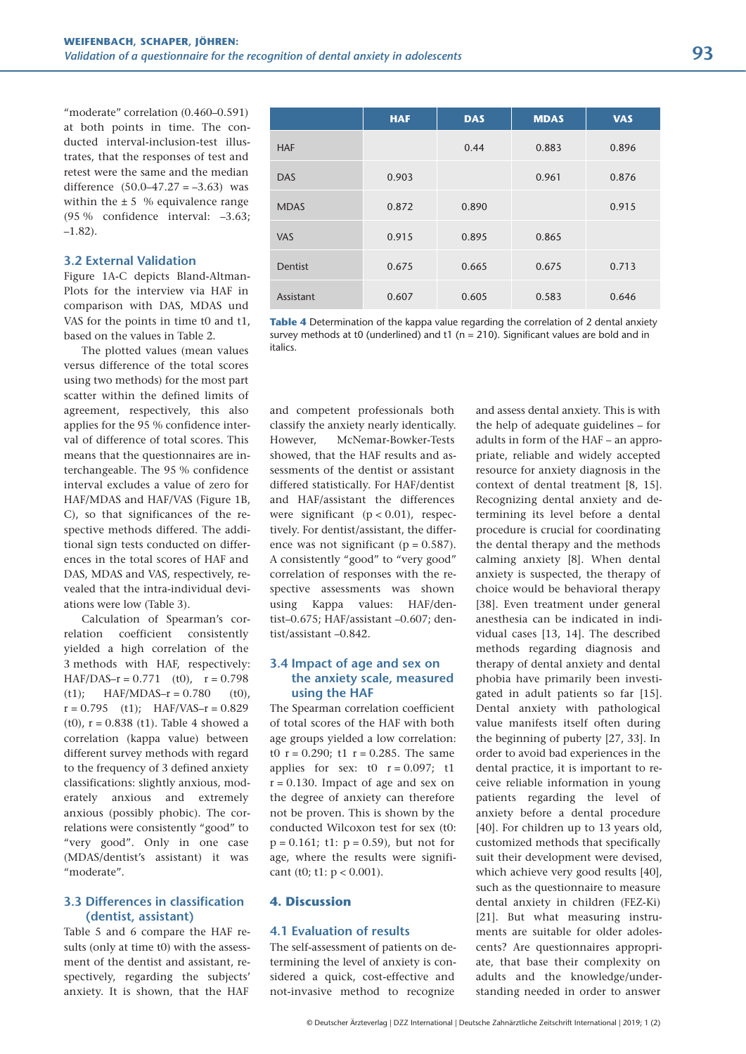"moderate" correlation (0.460–0.591) at both points in time. The conducted interval-inclusion-test illustrates, that the responses of test and retest were the same and the median difference  $(50.0-47.27 = -3.63)$  was within the  $\pm$  5 % equivalence range (95 % confidence interval: –3.63; –1.82).

# **3.2 External Validation**

Figure 1A-C depicts Bland-Altman-Plots for the interview via HAF in comparison with DAS, MDAS und VAS for the points in time t0 and t1, based on the values in Table 2.

The plotted values (mean values versus difference of the total scores using two methods) for the most part scatter within the defined limits of agreement, respectively, this also applies for the 95 % confidence interval of difference of total scores. This means that the questionnaires are interchangeable. The 95 % confidence interval excludes a value of zero for HAF/MDAS and HAF/VAS (Figure 1B, C), so that significances of the respective methods differed. The additional sign tests conducted on differences in the total scores of HAF and DAS, MDAS and VAS, respectively, revealed that the intra-individual deviations were low (Table 3).

Calculation of Spearman's correlation coefficient consistently yielded a high correlation of the 3 methods with HAF, respectively: HAF/DAS- $r = 0.771$  (t0),  $r = 0.798$  $(t1)$ ; HAF/MDAS-r = 0.780 (t0),  $r = 0.795$  (t1); HAF/VAS- $r = 0.829$ (t0),  $r = 0.838$  (t1). Table 4 showed a correlation (kappa value) between different survey methods with regard to the frequency of 3 defined anxiety classifications: slightly anxious, moderately anxious and extremely anxious (possibly phobic). The correlations were consistently "good" to "very good". Only in one case (MDAS/dentist's assistant) it was "moderate".

# **3.3 Differences in classification (dentist, assistant)**

Table 5 and 6 compare the HAF results (only at time t0) with the assessment of the dentist and assistant, respectively, regarding the subjects' anxiety. It is shown, that the HAF

|                | <b>HAF</b> | <b>DAS</b> | <b>MDAS</b> | <b>VAS</b> |
|----------------|------------|------------|-------------|------------|
| <b>HAF</b>     |            | 0.44       | 0.883       | 0.896      |
| <b>DAS</b>     | 0.903      |            | 0.961       | 0.876      |
| <b>MDAS</b>    | 0.872      | 0.890      |             | 0.915      |
| <b>VAS</b>     | 0.915      | 0.895      | 0.865       |            |
| <b>Dentist</b> | 0.675      | 0.665      | 0.675       | 0.713      |
| Assistant      | 0.607      | 0.605      | 0.583       | 0.646      |

**Table 4** Determination of the kappa value regarding the correlation of 2 dental anxiety survey methods at t0 (underlined) and t1 ( $n = 210$ ). Significant values are bold and in italics.

and competent professionals both classify the anxiety nearly identically. However, McNemar-Bowker-Tests showed, that the HAF results and assessments of the dentist or assistant differed statistically. For HAF/dentist and HAF/assistant the differences were significant  $(p < 0.01)$ , respectively. For dentist/assistant, the difference was not significant ( $p = 0.587$ ). A consistently "good" to "very good" correlation of responses with the respective assessments was shown using Kappa values: HAF/dentist–0.675; HAF/assistant –0.607; dentist/assistant –0.842.

# **3.4 Impact of age and sex on the anxiety scale, measured using the HAF**

The Spearman correlation coefficient of total scores of the HAF with both age groups yielded a low correlation: t0  $r = 0.290$ ; t1  $r = 0.285$ . The same applies for sex:  $t0$   $r = 0.097$ ;  $t1$  $r = 0.130$ . Impact of age and sex on the degree of anxiety can therefore not be proven. This is shown by the conducted Wilcoxon test for sex (t0:  $p = 0.161$ ; t1:  $p = 0.59$ ), but not for age, where the results were significant (t0; t1:  $p < 0.001$ ).

# **4. Discussion**

# **4.1 Evaluation of results**

The self-assessment of patients on determining the level of anxiety is considered a quick, cost-effective and not-invasive method to recognize

and assess dental anxiety. This is with the help of adequate guidelines – for adults in form of the HAF – an appropriate, reliable and widely accepted resource for anxiety diagnosis in the context of dental treatment [8, 15]. Recognizing dental anxiety and determining its level before a dental procedure is crucial for coordinating the dental therapy and the methods calming anxiety [8]. When dental anxiety is suspected, the therapy of choice would be behavioral therapy [38]. Even treatment under general anesthesia can be indicated in individual cases [13, 14]. The described methods regarding diagnosis and therapy of dental anxiety and dental phobia have primarily been investigated in adult patients so far [15]. Dental anxiety with pathological value manifests itself often during the beginning of puberty [27, 33]. In order to avoid bad experiences in the dental practice, it is important to receive reliable information in young patients regarding the level of anxiety before a dental procedure [40]. For children up to 13 years old, customized methods that specifically suit their development were devised, which achieve very good results [40], such as the questionnaire to measure dental anxiety in children (FEZ-Ki) [21]. But what measuring instruments are suitable for older adolescents? Are questionnaires appropriate, that base their complexity on adults and the knowledge/understanding needed in order to answer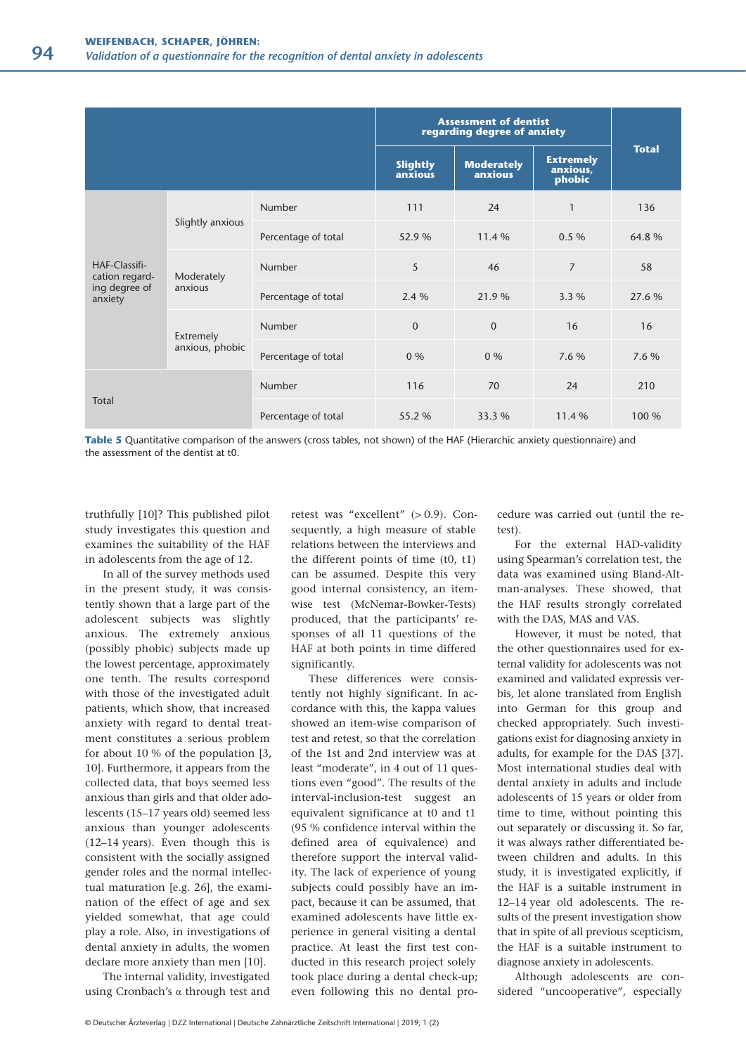|                          |                                         |                     | <b>Assessment of dentist</b><br>regarding degree of anxiety |                              |                                        |              |
|--------------------------|-----------------------------------------|---------------------|-------------------------------------------------------------|------------------------------|----------------------------------------|--------------|
|                          |                                         |                     | <b>Slightly</b><br>anxious                                  | <b>Moderately</b><br>anxious | <b>Extremely</b><br>anxious,<br>phobic | <b>Total</b> |
|                          |                                         | <b>Number</b>       | 111                                                         | 24                           | $\mathbf{1}$                           | 136          |
|                          | Slightly anxious                        | Percentage of total | 52.9 %                                                      | 11.4 %                       | 0.5%                                   | 64.8%        |
| HAF-Classifi-            | cation regard-<br>Moderately<br>anxious | <b>Number</b>       | 5                                                           | 46                           | $\overline{7}$                         | 58           |
| ing degree of<br>anxiety |                                         | Percentage of total | 2.4 %                                                       | 21.9 %                       | 3.3 %                                  | 27.6 %       |
|                          | Extremely                               | Number              | $\mathbf{0}$                                                | $\mathbf{0}$                 | 16                                     | 16           |
|                          | anxious, phobic                         | Percentage of total | $0\%$                                                       | $0\%$                        | 7.6 %                                  | 7.6 %        |
|                          |                                         | Number              | 116                                                         | 70                           | 24                                     | 210          |
| Total                    |                                         | Percentage of total | 55.2 %                                                      | 33.3 %                       | 11.4 %                                 | 100 %        |

**Table 5** Quantitative comparison of the answers (cross tables, not shown) of the HAF (Hierarchic anxiety questionnaire) and the assessment of the dentist at t0.

truthfully [10]? This published pilot study investigates this question and examines the suitability of the HAF in adolescents from the age of 12.

In all of the survey methods used in the present study, it was consistently shown that a large part of the adolescent subjects was slightly anxious. The extremely anxious (possibly phobic) subjects made up the lowest percentage, approximately one tenth. The results correspond with those of the investigated adult patients, which show, that increased anxiety with regard to dental treatment constitutes a serious problem for about 10 % of the population [3, 10]. Furthermore, it appears from the collected data, that boys seemed less anxious than girls and that older adolescents (15–17 years old) seemed less anxious than younger adolescents (12–14 years). Even though this is consistent with the socially assigned gender roles and the normal intellectual maturation [e.g. 26], the examination of the effect of age and sex yielded somewhat, that age could play a role. Also, in investigations of dental anxiety in adults, the women declare more anxiety than men [10].

The internal validity, investigated using Cronbach's α through test and retest was "excellent" (> 0.9). Consequently, a high measure of stable relations between the interviews and the different points of time (t0, t1) can be assumed. Despite this very good internal consistency, an itemwise test (McNemar-Bowker-Tests) produced, that the participants' responses of all 11 questions of the HAF at both points in time differed significantly.

These differences were consistently not highly significant. In accordance with this, the kappa values showed an item-wise comparison of test and retest, so that the correlation of the 1st and 2nd interview was at least "moderate", in 4 out of 11 questions even "good". The results of the interval-inclusion-test suggest an equivalent significance at t0 and t1 (95 % confidence interval within the defined area of equivalence) and therefore support the interval validity. The lack of experience of young subjects could possibly have an impact, because it can be assumed, that examined adolescents have little experience in general visiting a dental practice. At least the first test conducted in this research project solely took place during a dental check-up; even following this no dental procedure was carried out (until the retest).

For the external HAD-validity using Spearman's correlation test, the data was examined using Bland-Altman-analyses. These showed, that the HAF results strongly correlated with the DAS, MAS and VAS.

However, it must be noted, that the other questionnaires used for external validity for adolescents was not examined and validated expressis verbis, let alone translated from English into German for this group and checked appropriately. Such investigations exist for diagnosing anxiety in adults, for example for the DAS [37]. Most international studies deal with dental anxiety in adults and include adolescents of 15 years or older from time to time, without pointing this out separately or discussing it. So far, it was always rather differentiated between children and adults. In this study, it is investigated explicitly, if the HAF is a suitable instrument in 12–14 year old adolescents. The results of the present investigation show that in spite of all previous scepticism, the HAF is a suitable instrument to diagnose anxiety in adolescents.

Although adolescents are considered "uncooperative", especially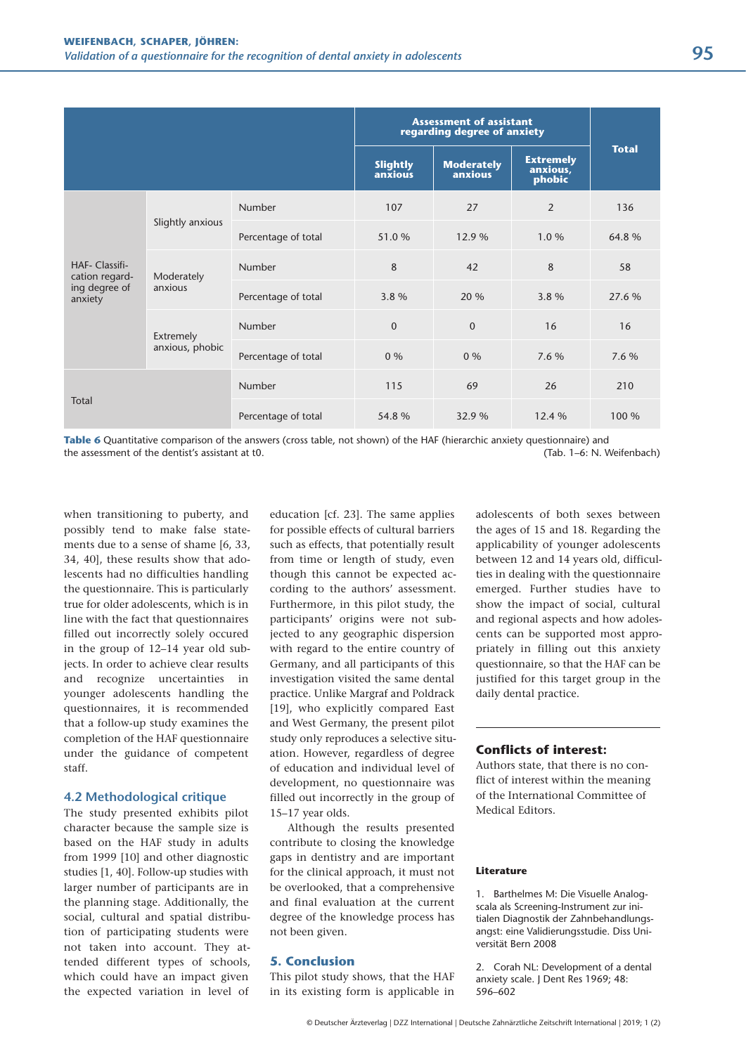|                                  |                              |                     | <b>Assessment of assistant</b><br>regarding degree of anxiety |                              |                                        |              |
|----------------------------------|------------------------------|---------------------|---------------------------------------------------------------|------------------------------|----------------------------------------|--------------|
|                                  |                              |                     | <b>Slightly</b><br>anxious                                    | <b>Moderately</b><br>anxious | <b>Extremely</b><br>anxious,<br>phobic | <b>Total</b> |
|                                  |                              | <b>Number</b>       | 107                                                           | 27                           | 2                                      | 136          |
|                                  | Slightly anxious             | Percentage of total | 51.0%                                                         | 12.9 %                       | 1.0%                                   | 64.8%        |
| HAF- Classifi-<br>cation regard- | Moderately                   | <b>Number</b>       | 8                                                             | 42                           | 8                                      | 58           |
| ing degree of<br>anxiety         | anxious                      | Percentage of total | 3.8 %                                                         | 20 %                         | 3.8 %                                  | 27.6 %       |
|                                  | Extremely<br>anxious, phobic | <b>Number</b>       | $\mathbf 0$                                                   | $\mathbf{0}$                 | 16                                     | 16           |
|                                  |                              | Percentage of total | $0\%$                                                         | $0\%$                        | 7.6 %                                  | 7.6 %        |
|                                  |                              | <b>Number</b>       | 115                                                           | 69                           | 26                                     | 210          |
| Total                            |                              | Percentage of total | 54.8%                                                         | 32.9 %                       | 12.4 %                                 | 100 %        |

**Table 6** Quantitative comparison of the answers (cross table, not shown) of the HAF (hierarchic anxiety questionnaire) and the assessment of the dentist's assistant at t0. (Tab. 1–6: N. Weifenbach)

when transitioning to puberty, and possibly tend to make false statements due to a sense of shame [6, 33, 34, 40], these results show that adolescents had no difficulties handling the questionnaire. This is particularly true for older adolescents, which is in line with the fact that questionnaires filled out incorrectly solely occured in the group of 12–14 year old subjects. In order to achieve clear results and recognize uncertainties in younger adolescents handling the questionnaires, it is recommended that a follow-up study examines the completion of the HAF questionnaire under the guidance of competent staff.

# **4.2 Methodological critique**

The study presented exhibits pilot character because the sample size is based on the HAF study in adults from 1999 [10] and other diagnostic studies [1, 40]. Follow-up studies with larger number of participants are in the planning stage. Additionally, the social, cultural and spatial distribution of participating students were not taken into account. They attended different types of schools, which could have an impact given the expected variation in level of

education [cf. 23]. The same applies for possible effects of cultural barriers such as effects, that potentially result from time or length of study, even though this cannot be expected according to the authors' assessment. Furthermore, in this pilot study, the participants' origins were not subjected to any geographic dispersion with regard to the entire country of Germany, and all participants of this investigation visited the same dental practice. Unlike Margraf and Poldrack [19], who explicitly compared East and West Germany, the present pilot study only reproduces a selective situation. However, regardless of degree of education and individual level of development, no questionnaire was filled out incorrectly in the group of 15–17 year olds.

Although the results presented contribute to closing the knowledge gaps in dentistry and are important for the clinical approach, it must not be overlooked, that a comprehensive and final evaluation at the current degree of the knowledge process has not been given.

# **5. Conclusion**

This pilot study shows, that the HAF in its existing form is applicable in adolescents of both sexes between the ages of 15 and 18. Regarding the applicability of younger adolescents between 12 and 14 years old, difficulties in dealing with the questionnaire emerged. Further studies have to show the impact of social, cultural and regional aspects and how adolescents can be supported most appropriately in filling out this anxiety questionnaire, so that the HAF can be justified for this target group in the daily dental practice.

# **Conflicts of interest:**

Authors state, that there is no conflict of interest within the meaning of the International Committee of Medical Editors.

### **Literature**

1. Barthelmes M: Die Visuelle Analogscala als Screening-Instrument zur initialen Diagnostik der Zahnbehandlungsangst: eine Validierungsstudie. Diss Universität Bern 2008

2. Corah NL: Development of a dental anxiety scale. J Dent Res 1969; 48: 596–602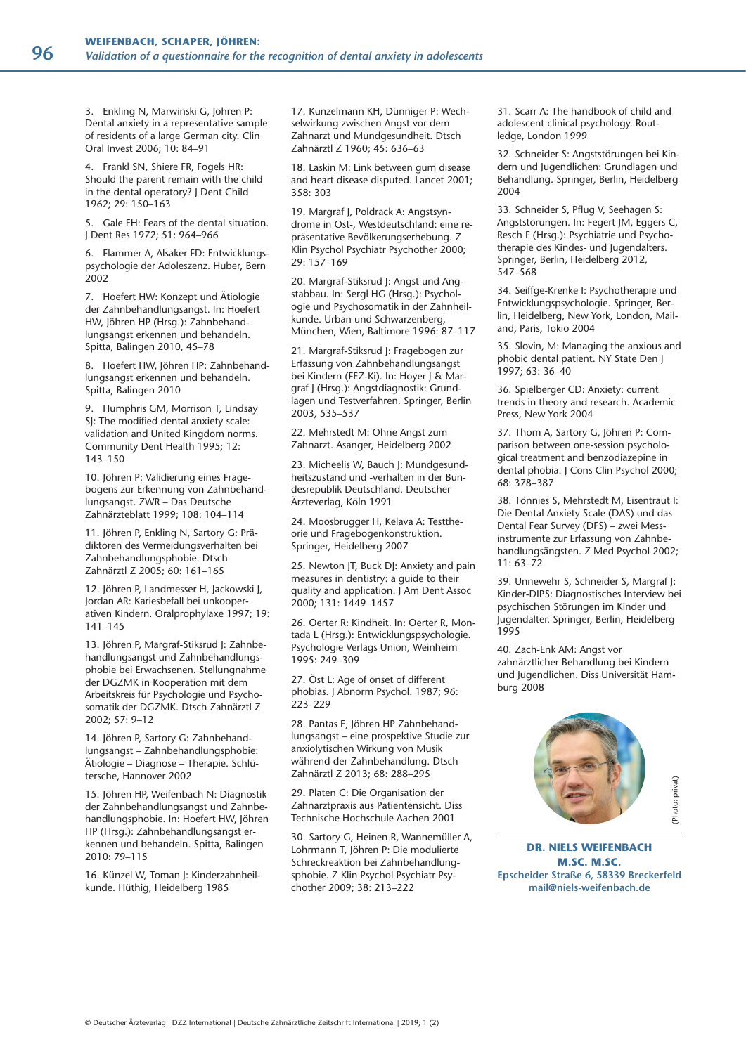3. Enkling N, Marwinski G, Jöhren P: Dental anxiety in a representative sample of residents of a large German city. Clin Oral Invest 2006; 10: 84–91

4. Frankl SN, Shiere FR, Fogels HR: Should the parent remain with the child in the dental operatory? J Dent Child 1962; 29: 150–163

5. Gale EH: Fears of the dental situation. J Dent Res 1972; 51: 964–966

6. Flammer A, Alsaker FD: Entwicklungspsychologie der Adoleszenz. Huber, Bern 2002

7. Hoefert HW: Konzept und Ätiologie der Zahnbehandlungsangst. In: Hoefert HW, Jöhren HP (Hrsg.): Zahnbehandlungsangst erkennen und behandeln. Spitta, Balingen 2010, 45–78

8. Hoefert HW, Jöhren HP: Zahnbehandlungsangst erkennen und behandeln. Spitta, Balingen 2010

9. Humphris GM, Morrison T, Lindsay SJ: The modified dental anxiety scale: validation and United Kingdom norms. Community Dent Health 1995; 12: 143–150

10. Jöhren P: Validierung eines Fragebogens zur Erkennung von Zahnbehandlungsangst. ZWR – Das Deutsche Zahnärzteblatt 1999; 108: 104–114

11. Jöhren P, Enkling N, Sartory G: Prädiktoren des Vermeidungsverhalten bei Zahnbehandlungsphobie. Dtsch Zahnärztl Z 2005; 60: 161–165

12. Jöhren P, Landmesser H, Jackowski J, Jordan AR: Kariesbefall bei unkooperativen Kindern. Oralprophylaxe 1997; 19: 141–145

13. Jöhren P, Margraf-Stiksrud J: Zahnbehandlungsangst und Zahnbehandlungsphobie bei Erwachsenen. Stellungnahme der DGZMK in Kooperation mit dem Arbeitskreis für Psychologie und Psychosomatik der DGZMK. Dtsch Zahnärztl Z 2002; 57: 9–12

14. Jöhren P, Sartory G: Zahnbehandlungsangst – Zahnbehandlungsphobie: Ätiologie – Diagnose – Therapie. Schlütersche, Hannover 2002

15. Jöhren HP, Weifenbach N: Diagnostik der Zahnbehandlungsangst und Zahnbehandlungsphobie. In: Hoefert HW, Jöhren HP (Hrsg.): Zahnbehandlungsangst erkennen und behandeln. Spitta, Balingen 2010: 79–115

16. Künzel W, Toman J: Kinderzahnheilkunde. Hüthig, Heidelberg 1985

17. Kunzelmann KH, Dünniger P: Wechselwirkung zwischen Angst vor dem Zahnarzt und Mundgesundheit. Dtsch Zahnärztl Z 1960; 45: 636–63

18. Laskin M: Link between gum disease and heart disease disputed. Lancet 2001; 358: 303

19. Margraf J, Poldrack A: Angstsyndrome in Ost-, Westdeutschland: eine repräsentative Bevölkerungserhebung. Z Klin Psychol Psychiatr Psychother 2000; 29: 157–169

20. Margraf-Stiksrud J: Angst und Angstabbau. In: Sergl HG (Hrsg.): Psychologie und Psychosomatik in der Zahnheilkunde. Urban und Schwarzenberg, München, Wien, Baltimore 1996: 87–117

21. Margraf-Stiksrud J: Fragebogen zur Erfassung von Zahnbehandlungsangst bei Kindern (FEZ-Ki). In: Hoyer J & Margraf J (Hrsg.): Angstdiagnostik: Grundlagen und Testverfahren. Springer, Berlin 2003, 535–537

22. Mehrstedt M: Ohne Angst zum Zahnarzt. Asanger, Heidelberg 2002

23. Micheelis W, Bauch J: Mundgesundheitszustand und -verhalten in der Bundesrepublik Deutschland. Deutscher Ärzteverlag, Köln 1991

24. Moosbrugger H, Kelava A: Testtheorie und Fragebogenkonstruktion. Springer, Heidelberg 2007

25. Newton JT, Buck DJ: Anxiety and pain measures in dentistry: a guide to their quality and application. J Am Dent Assoc 2000; 131: 1449–1457

26. Oerter R: Kindheit. In: Oerter R, Montada L (Hrsg.): Entwicklungspsychologie. Psychologie Verlags Union, Weinheim 1995: 249–309

27. Öst L: Age of onset of different phobias. J Abnorm Psychol. 1987; 96: 223–229

28. Pantas E, Jöhren HP Zahnbehandlungsangst – eine prospektive Studie zur anxiolytischen Wirkung von Musik während der Zahnbehandlung. Dtsch Zahnärztl Z 2013; 68: 288–295

29. Platen C: Die Organisation der Zahnarztpraxis aus Patientensicht. Diss Technische Hochschule Aachen 2001

30. Sartory G, Heinen R, Wannemüller A, Lohrmann T, Jöhren P: Die modulierte Schreckreaktion bei Zahnbehandlungsphobie. Z Klin Psychol Psychiatr Psychother 2009; 38: 213–222

31. Scarr A: The handbook of child and adolescent clinical psychology. Routledge, London 1999

32. Schneider S: Angststörungen bei Kindern und Jugendlichen: Grundlagen und Behandlung. Springer, Berlin, Heidelberg 2004

33. Schneider S, Pflug V, Seehagen S: Angststörungen. In: Fegert JM, Eggers C, Resch F (Hrsg.): Psychiatrie und Psychotherapie des Kindes- und Jugendalters. Springer, Berlin, Heidelberg 2012, 547–568

34. Seiffge-Krenke I: Psychotherapie und Entwicklungspsychologie. Springer, Berlin, Heidelberg, New York, London, Mailand, Paris, Tokio 2004

35. Slovin, M: Managing the anxious and phobic dental patient. NY State Den J 1997; 63: 36–40

36. Spielberger CD: Anxiety: current trends in theory and research. Academic Press, New York 2004

37. Thom A, Sartory G, Jöhren P: Comparison between one-session psychological treatment and benzodiazepine in dental phobia. J Cons Clin Psychol 2000; 68: 378–387

38. Tönnies S, Mehrstedt M, Eisentraut I: Die Dental Anxiety Scale (DAS) und das Dental Fear Survey (DFS) – zwei Messinstrumente zur Erfassung von Zahnbehandlungsängsten. Z Med Psychol 2002; 11: 63–72

39. Unnewehr S, Schneider S, Margraf J: Kinder-DIPS: Diagnostisches Interview bei psychischen Störungen im Kinder und Jugendalter. Springer, Berlin, Heidelberg 1995

40. Zach-Enk AM: Angst vor zahnärztlicher Behandlung bei Kindern und Jugendlichen. Diss Universität Hamburg 2008



Photo: privat) (Photo: privat)

**DR. NIELS WEIFENBACH M.SC. M.SC. Epscheider Straße 6, 58339 Breckerfeld mail@niels-weifenbach.de**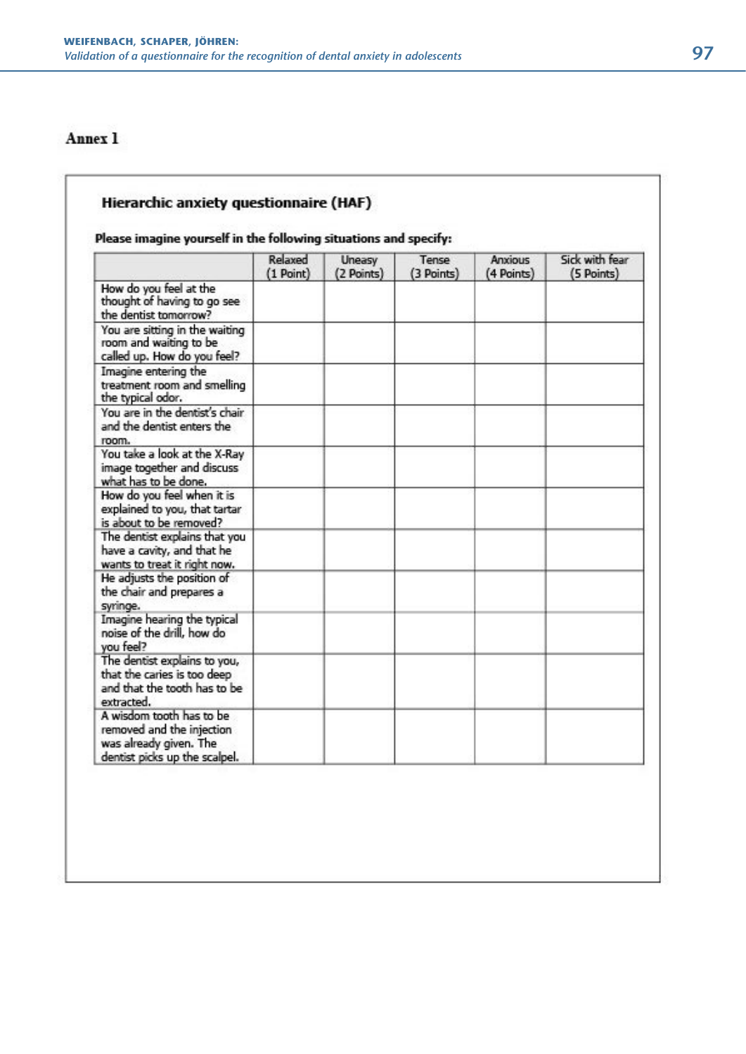# Annex 1

# Hierarchic anxiety questionnaire (HAF) Please imagine yourself in the following situations and specify: Relaxed Sick with fear Uneasy Tense Anxious (1 Point) (2 Points) (3 Points) (4 Points) (5 Points) How do you feel at the<br>thought of having to go see the dentist tomorrow? You are sitting in the waiting room and waiting to be called up. How do you feel? Imagine entering the treatment room and smelling the typical odor. You are in the dentist's chair and the dentist enters the room. You take a look at the X-Ray image together and discuss what has to be done. How do you feel when it is explained to you, that tartar is about to be removed? The dentist explains that you have a cavity, and that he wants to treat it right now. He adjusts the position of the chair and prepares a syringe. Imagine hearing the typical noise of the drill, how do you feel? The dentist explains to you, that the caries is too deep and that the tooth has to be extracted. A wisdom tooth has to be removed and the injection was already given. The dentist picks up the scalpel.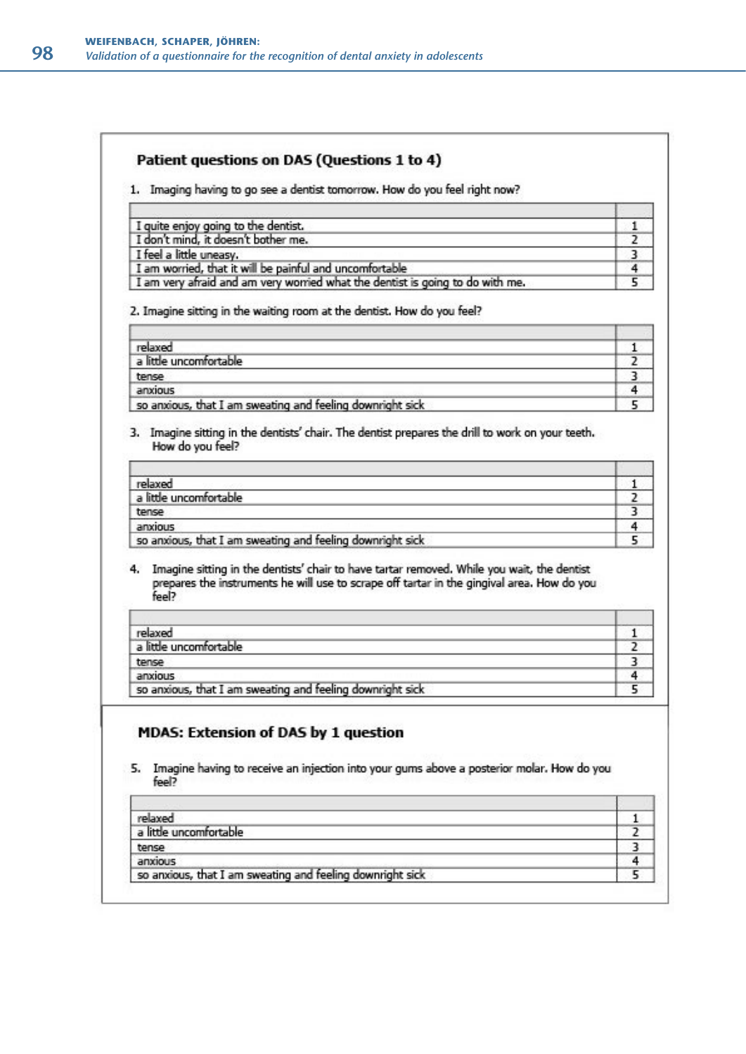# Patient questions on DAS (Questions 1 to 4)

1. Imaging having to go see a dentist tomorrow. How do you feel right now?

| I quite enjoy going to the dentist.                                           |  |
|-------------------------------------------------------------------------------|--|
| I don't mind, it doesn't bother me.                                           |  |
| I feel a little uneasy.                                                       |  |
| I am worried, that it will be painful and uncomfortable                       |  |
| I am very afraid and am very worried what the dentist is going to do with me. |  |

2. Imagine sitting in the waiting room at the dentist. How do you feel?

| relaxed                                                   |  |
|-----------------------------------------------------------|--|
| a little uncomfortable                                    |  |
| tense                                                     |  |
| anxious                                                   |  |
| so anxious, that I am sweating and feeling downright sick |  |

3. Imagine sitting in the dentists' chair. The dentist prepares the drill to work on your teeth. How do you feel?

| relaxed                                                   |  |
|-----------------------------------------------------------|--|
| a little uncomfortable                                    |  |
| tense                                                     |  |
| anxious                                                   |  |
| so anxious, that I am sweating and feeling downright sick |  |

4. Imagine sitting in the dentists' chair to have tartar removed. While you wait, the dentist Imagine sitting in the dentists' chair to have tartar removed. While you wait, the dentist<br>prepares the instruments he will use to scrape off tartar in the gingival area. How do you<br>feel?

| relaxed                                                   |  |
|-----------------------------------------------------------|--|
| a little uncomfortable                                    |  |
| tense                                                     |  |
| anxious                                                   |  |
| so anxious, that I am sweating and feeling downright sick |  |

# **MDAS: Extension of DAS by 1 question**

5. Imagine having to receive an injection into your gums above a posterior molar. How do you feel?

| relaxed                                                   |  |
|-----------------------------------------------------------|--|
| a little uncomfortable                                    |  |
| tense                                                     |  |
| anxious                                                   |  |
| so anxious, that I am sweating and feeling downright sick |  |